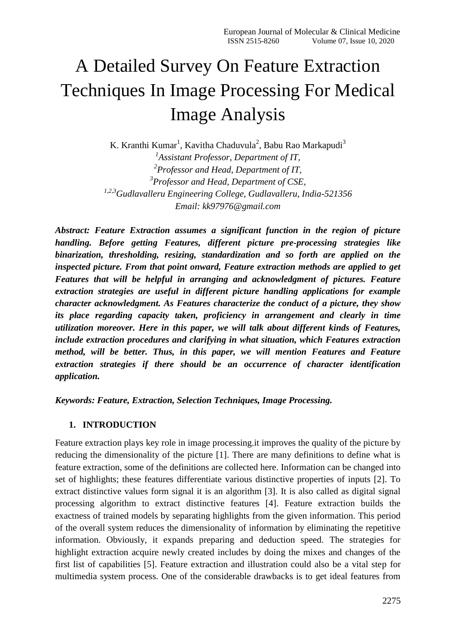# A Detailed Survey On Feature Extraction Techniques In Image Processing For Medical Image Analysis

K. Kranthi Kumar<sup>1</sup>, Kavitha Chaduvula<sup>2</sup>, Babu Rao Markapudi<sup>3</sup> *1 Assistant Professor, Department of IT, 2 Professor and Head, Department of IT, 3 Professor and Head, Department of CSE, 1,2,3Gudlavalleru Engineering College, Gudlavalleru, India-521356 Email: [kk97976@gmail.com](mailto:kk97976@gmail.com)*

*Abstract: Feature Extraction assumes a significant function in the region of picture handling. Before getting Features, different picture pre-processing strategies like binarization, thresholding, resizing, standardization and so forth are applied on the inspected picture. From that point onward, Feature extraction methods are applied to get Features that will be helpful in arranging and acknowledgment of pictures. Feature extraction strategies are useful in different picture handling applications for example character acknowledgment. As Features characterize the conduct of a picture, they show its place regarding capacity taken, proficiency in arrangement and clearly in time utilization moreover. Here in this paper, we will talk about different kinds of Features, include extraction procedures and clarifying in what situation, which Features extraction method, will be better. Thus, in this paper, we will mention Features and Feature extraction strategies if there should be an occurrence of character identification application.*

*Keywords: Feature, Extraction, Selection Techniques, Image Processing.*

# **1. INTRODUCTION**

Feature extraction plays key role in image processing.it improves the quality of the picture by reducing the dimensionality of the picture [1]. There are many definitions to define what is feature extraction, some of the definitions are collected here. Information can be changed into set of highlights; these features differentiate various distinctive properties of inputs [2]. To extract distinctive values form signal it is an algorithm [3]. It is also called as digital signal processing algorithm to extract distinctive features [4]. Feature extraction builds the exactness of trained models by separating highlights from the given information. This period of the overall system reduces the dimensionality of information by eliminating the repetitive information. Obviously, it expands preparing and deduction speed. The strategies for highlight extraction acquire newly created includes by doing the mixes and changes of the first list of capabilities [5]. Feature extraction and illustration could also be a vital step for multimedia system process. One of the considerable drawbacks is to get ideal features from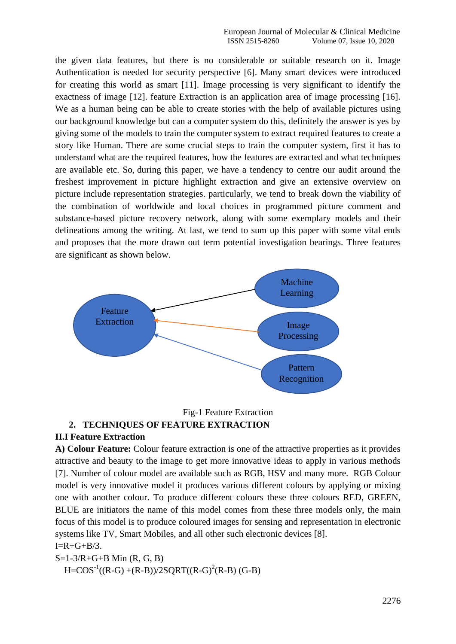the given data features, but there is no considerable or suitable research on it. Image Authentication is needed for security perspective [6]. Many smart devices were introduced for creating this world as smart [11]. Image processing is very significant to identify the exactness of image [12]. feature Extraction is an application area of image processing [16]. We as a human being can be able to create stories with the help of available pictures using our background knowledge but can a computer system do this, definitely the answer is yes by giving some of the models to train the computer system to extract required features to create a story like Human. There are some crucial steps to train the computer system, first it has to understand what are the required features, how the features are extracted and what techniques are available etc. So, during this paper, we have a tendency to centre our audit around the freshest improvement in picture highlight extraction and give an extensive overview on picture include representation strategies. particularly, we tend to break down the viability of the combination of worldwide and local choices in programmed picture comment and substance-based picture recovery network, along with some exemplary models and their delineations among the writing. At last, we tend to sum up this paper with some vital ends and proposes that the more drawn out term potential investigation bearings. Three features are significant as shown below.



## Fig-1 Feature Extraction **2. TECHNIQUES OF FEATURE EXTRACTION**

# **II.I Feature Extraction**

**A) Colour Feature:** Colour feature extraction is one of the attractive properties as it provides attractive and beauty to the image to get more innovative ideas to apply in various methods [7]. Number of colour model are available such as RGB, HSV and many more. RGB Colour model is very innovative model it produces various different colours by applying or mixing one with another colour. To produce different colours these three colours RED, GREEN, BLUE are initiators the name of this model comes from these three models only, the main focus of this model is to produce coloured images for sensing and representation in electronic systems like TV, Smart Mobiles, and all other such electronic devices [8].

 $I=R+G+B/3$ . S=1-3/R+G+B Min (R, G, B)  $H = COS^{-1}((R-G) + (R-B))/2SQRT((R-G)^{2}(R-B) (G-B))$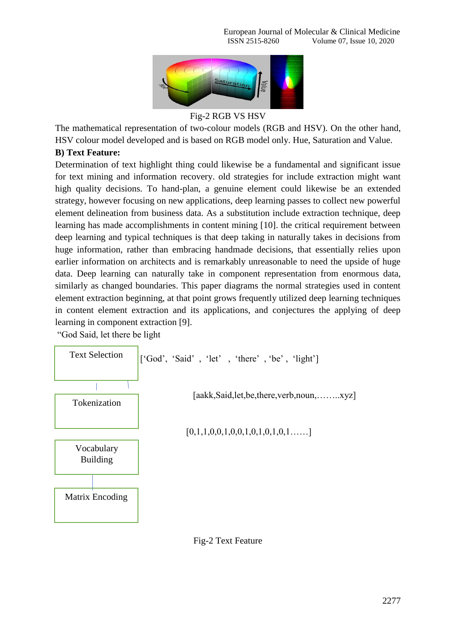

Fig-2 RGB VS HSV

The mathematical representation of two-colour models (RGB and HSV). On the other hand, HSV colour model developed and is based on RGB model only. Hue, Saturation and Value.

# **B) Text Feature:**

Determination of text highlight thing could likewise be a fundamental and significant issue for text mining and information recovery. old strategies for include extraction might want high quality decisions. To hand-plan, a genuine element could likewise be an extended strategy, however focusing on new applications, deep learning passes to collect new powerful element delineation from business data. As a substitution include extraction technique, deep learning has made accomplishments in content mining [10]. the critical requirement between deep learning and typical techniques is that deep taking in naturally takes in decisions from huge information, rather than embracing handmade decisions, that essentially relies upon earlier information on architects and is remarkably unreasonable to need the upside of huge data. Deep learning can naturally take in component representation from enormous data, similarly as changed boundaries. This paper diagrams the normal strategies used in content element extraction beginning, at that point grows frequently utilized deep learning techniques in content element extraction and its applications, and conjectures the applying of deep learning in component extraction [9].

"God Said, let there be light



Fig-2 Text Feature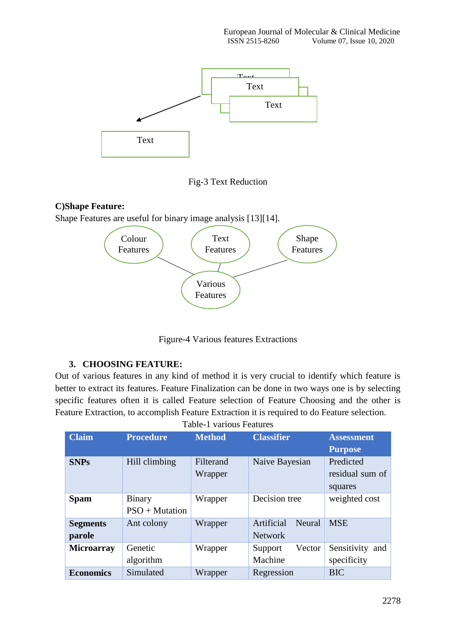

Fig-3 Text Reduction

## **C)Shape Feature:**

Shape Features are useful for binary image analysis [13][14].



Figure-4 Various features Extractions

# **3. CHOOSING FEATURE:**

Out of various features in any kind of method it is very crucial to identify which feature is better to extract its features. Feature Finalization can be done in two ways one is by selecting specific features often it is called Feature selection of Feature Choosing and the other is Feature Extraction, to accomplish Feature Extraction it is required to do Feature selection.

| Table-1 various Features |                  |               |                      |                   |
|--------------------------|------------------|---------------|----------------------|-------------------|
| <b>Claim</b>             | <b>Procedure</b> | <b>Method</b> | <b>Classifier</b>    | <b>Assessment</b> |
|                          |                  |               |                      | <b>Purpose</b>    |
| <b>SNPs</b>              | Hill climbing    | Filterand     | Naive Bayesian       | Predicted         |
|                          |                  | Wrapper       |                      | residual sum of   |
|                          |                  |               |                      | squares           |
| <b>Spam</b>              | <b>Binary</b>    | Wrapper       | Decision tree        | weighted cost     |
|                          | $PSO + Mutation$ |               |                      |                   |
| <b>Segments</b>          | Ant colony       | Wrapper       | Artificial<br>Neural | <b>MSE</b>        |
| parole                   |                  |               | <b>Network</b>       |                   |
| <b>Microarray</b>        | Genetic          | Wrapper       | Vector<br>Support    | Sensitivity and   |
|                          | algorithm        |               | Machine              | specificity       |
| <b>Economics</b>         | Simulated        | Wrapper       | Regression           | <b>BIC</b>        |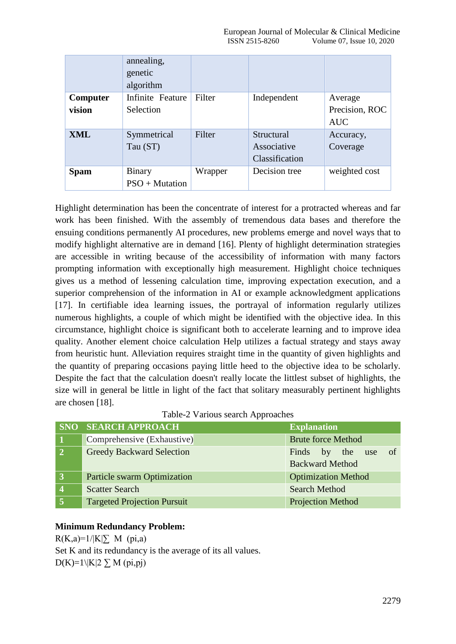|                 | annealing,<br>genetic<br>algorithm |         |                                             |                              |
|-----------------|------------------------------------|---------|---------------------------------------------|------------------------------|
| <b>Computer</b> | Infinite Feature                   | Filter  | Independent                                 | Average                      |
| vision          | Selection                          |         |                                             | Precision, ROC<br><b>AUC</b> |
| <b>XML</b>      | Symmetrical<br>Tau (ST)            | Filter  | Structural<br>Associative<br>Classification | Accuracy,<br>Coverage        |
| <b>Spam</b>     | Binary<br>$PSO + Mutation$         | Wrapper | Decision tree                               | weighted cost                |

Highlight determination has been the concentrate of interest for a protracted whereas and far work has been finished. With the assembly of tremendous data bases and therefore the ensuing conditions permanently AI procedures, new problems emerge and novel ways that to modify highlight alternative are in demand [16]. Plenty of highlight determination strategies are accessible in writing because of the accessibility of information with many factors prompting information with exceptionally high measurement. Highlight choice techniques gives us a method of lessening calculation time, improving expectation execution, and a superior comprehension of the information in AI or example acknowledgment applications [17]. In certifiable idea learning issues, the portrayal of information regularly utilizes numerous highlights, a couple of which might be identified with the objective idea. In this circumstance, highlight choice is significant both to accelerate learning and to improve idea quality. Another element choice calculation Help utilizes a factual strategy and stays away from heuristic hunt. Alleviation requires straight time in the quantity of given highlights and the quantity of preparing occasions paying little heed to the objective idea to be scholarly. Despite the fact that the calculation doesn't really locate the littlest subset of highlights, the size will in general be little in light of the fact that solitary measurably pertinent highlights are chosen [18].

| Table-2 Various search Approaches |  |  |
|-----------------------------------|--|--|
|-----------------------------------|--|--|

|                | <b>SNO SEARCH APPROACH</b>         | <b>Explanation</b>         |
|----------------|------------------------------------|----------------------------|
|                | Comprehensive (Exhaustive)         | <b>Brute force Method</b>  |
| $\overline{2}$ | <b>Greedy Backward Selection</b>   | by the use of<br>Finds     |
|                |                                    | <b>Backward Method</b>     |
|                | <b>Particle swarm Optimization</b> | <b>Optimization Method</b> |
|                | <b>Scatter Search</b>              | <b>Search Method</b>       |
|                | <b>Targeted Projection Pursuit</b> | <b>Projection Method</b>   |

# **Minimum Redundancy Problem:**

 $R(K,a)=1/|K|\sum M$  (pi,a) Set K and its redundancy is the average of its all values. D(K)=1\|K|2  $\Sigma$  M (pi,pj)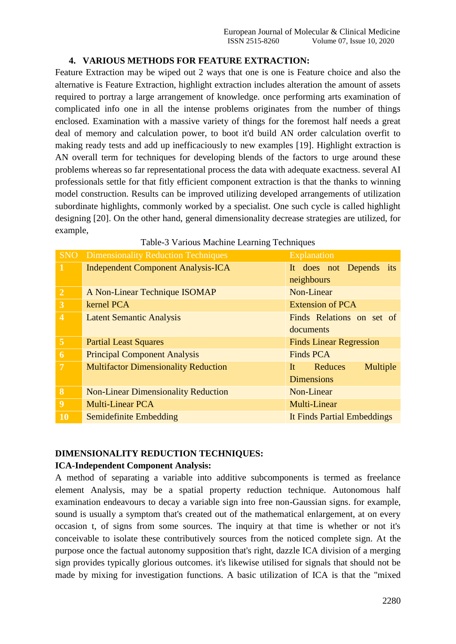# **4. VARIOUS METHODS FOR FEATURE EXTRACTION:**

Feature Extraction may be wiped out 2 ways that one is one is Feature choice and also the alternative is Feature Extraction, highlight extraction includes alteration the amount of assets required to portray a large arrangement of knowledge. once performing arts examination of complicated info one in all the intense problems originates from the number of things enclosed. Examination with a massive variety of things for the foremost half needs a great deal of memory and calculation power, to boot it'd build AN order calculation overfit to making ready tests and add up inefficaciously to new examples [19]. Highlight extraction is AN overall term for techniques for developing blends of the factors to urge around these problems whereas so far representational process the data with adequate exactness. several AI professionals settle for that fitly efficient component extraction is that the thanks to winning model construction. Results can be improved utilizing developed arrangements of utilization subordinate highlights, commonly worked by a specialist. One such cycle is called highlight designing [20]. On the other hand, general dimensionality decrease strategies are utilized, for example,

| <b>SNO</b>              | <b>Dimensionality Reduction Techniques</b>  | Explanation                                    |
|-------------------------|---------------------------------------------|------------------------------------------------|
| $\mathbf{1}$            | <b>Independent Component Analysis-ICA</b>   | It does not Depends its<br>neighbours          |
| $\overline{2}$          | A Non-Linear Technique ISOMAP               | Non-Linear                                     |
| 3                       | kernel PCA                                  | <b>Extension of PCA</b>                        |
| $\overline{\mathbf{4}}$ | <b>Latent Semantic Analysis</b>             | Finds Relations on set of<br>documents         |
| $\overline{5}$          | <b>Partial Least Squares</b>                | <b>Finds Linear Regression</b>                 |
| 6                       | <b>Principal Component Analysis</b>         | <b>Finds PCA</b>                               |
| $\overline{7}$          | <b>Multifactor Dimensionality Reduction</b> | Multiple<br>Reduces<br>It<br><b>Dimensions</b> |
| 8                       | <b>Non-Linear Dimensionality Reduction</b>  | Non-Linear                                     |
| 9                       | <b>Multi-Linear PCA</b>                     | Multi-Linear                                   |
| 10                      | Semidefinite Embedding                      | It Finds Partial Embeddings                    |

#### Table-3 Various Machine Learning Techniques

## **DIMENSIONALITY REDUCTION TECHNIQUES:**

## **ICA-Independent Component Analysis:**

A method of separating a variable into additive subcomponents is termed as freelance element Analysis, may be a spatial property reduction technique. Autonomous half examination endeavours to decay a variable sign into free non-Gaussian signs. for example, sound is usually a symptom that's created out of the mathematical enlargement, at on every occasion t, of signs from some sources. The inquiry at that time is whether or not it's conceivable to isolate these contributively sources from the noticed complete sign. At the purpose once the factual autonomy supposition that's right, dazzle ICA division of a merging sign provides typically glorious outcomes. it's likewise utilised for signals that should not be made by mixing for investigation functions. A basic utilization of ICA is that the "mixed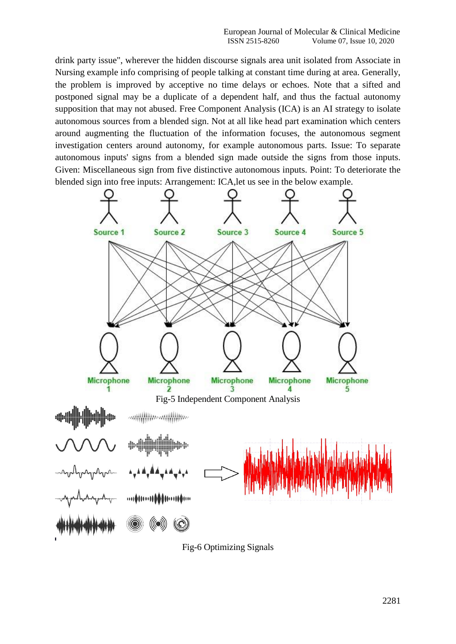drink party issue", wherever the hidden discourse signals area unit isolated from Associate in Nursing example info comprising of people talking at constant time during at area. Generally, the problem is improved by acceptive no time delays or echoes. Note that a sifted and postponed signal may be a duplicate of a dependent half, and thus the factual autonomy supposition that may not abused. Free Component Analysis (ICA) is an AI strategy to isolate autonomous sources from a blended sign. Not at all like head part examination which centers around augmenting the fluctuation of the information focuses, the autonomous segment investigation centers around autonomy, for example autonomous parts. Issue: To separate autonomous inputs' signs from a blended sign made outside the signs from those inputs. Given: Miscellaneous sign from five distinctive autonomous inputs. Point: To deteriorate the blended sign into free inputs: Arrangement: ICA,let us see in the below example.



Fig-6 Optimizing Signals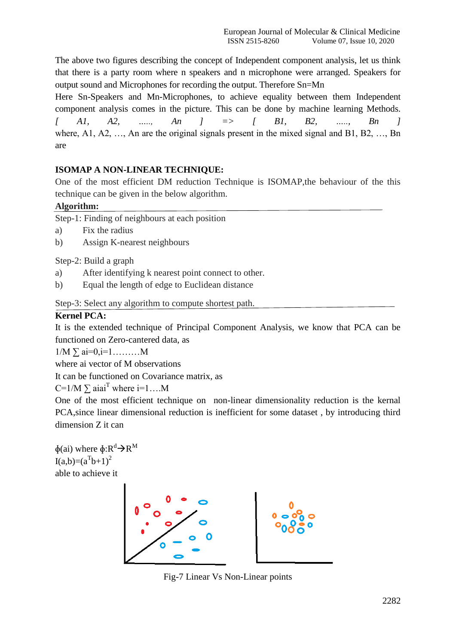The above two figures describing the concept of Independent component analysis, let us think that there is a party room where n speakers and n microphone were arranged. Speakers for output sound and Microphones for recording the output. Therefore Sn=Mn

Here Sn-Speakers and Mn-Microphones, to achieve equality between them Independent component analysis comes in the picture. This can be done by machine learning Methods. *[ A1, A2, ….., An ] => [ B1, B2, ….., Bn ]* where, A1, A2, …, An are the original signals present in the mixed signal and B1, B2, …, Bn are

# **ISOMAP A NON-LINEAR TECHNIQUE:**

One of the most efficient DM reduction Technique is ISOMAP,the behaviour of the this technique can be given in the below algorithm.

## **Algorithm:**

Step-1: Finding of neighbours at each position

- a) Fix the radius
- b) Assign K-nearest neighbours

Step-2: Build a graph

- a) After identifying k nearest point connect to other.
- b) Equal the length of edge to Euclidean distance

Step-3: Select any algorithm to compute shortest path.

## **Kernel PCA:**

It is the extended technique of Principal Component Analysis, we know that PCA can be functioned on Zero-cantered data, as

 $1/M \sum a_i=0, i=1,...,...,M$ 

where ai vector of M observations

It can be functioned on Covariance matrix, as

C=1/M  $\Sigma$  aiai<sup>T</sup> where i=1....M

One of the most efficient technique on non-linear dimensionality reduction is the kernal PCA,since linear dimensional reduction is inefficient for some dataset , by introducing third dimension Z it can

 $\phi$ (ai) where  $\phi: R^d \rightarrow R^M$  $I(a,b)=(a^{T}b+1)^{2}$ able to achieve it



Fig-7 Linear Vs Non-Linear points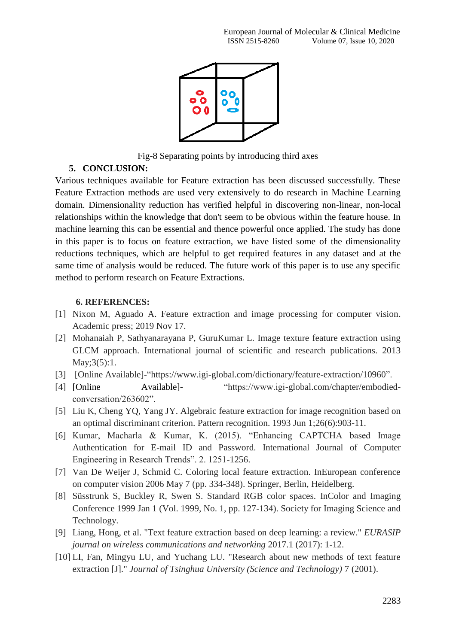

Fig-8 Separating points by introducing third axes

# **5. CONCLUSION:**

Various techniques available for Feature extraction has been discussed successfully. These Feature Extraction methods are used very extensively to do research in Machine Learning domain. Dimensionality reduction has verified helpful in discovering non-linear, non-local relationships within the knowledge that don't seem to be obvious within the feature house. In machine learning this can be essential and thence powerful once applied. The study has done in this paper is to focus on feature extraction, we have listed some of the dimensionality reductions techniques, which are helpful to get required features in any dataset and at the same time of analysis would be reduced. The future work of this paper is to use any specific method to perform research on Feature Extractions.

# **6. REFERENCES:**

- [1] Nixon M, Aguado A. Feature extraction and image processing for computer vision. Academic press; 2019 Nov 17.
- [2] Mohanaiah P, Sathyanarayana P, GuruKumar L. Image texture feature extraction using GLCM approach. International journal of scientific and research publications. 2013  $May;3(5):1.$
- [3] [Online Available]-["https://www.igi-global.com/dictionary/feature-extraction/10960"](https://www.igi-global.com/dictionary/feature-extraction/10960).
- [4] [Online Available]- "https://www.igi-global.com/chapter/embodiedconversation/263602".
- [5] Liu K, Cheng YQ, Yang JY. Algebraic feature extraction for image recognition based on an optimal discriminant criterion. Pattern recognition. 1993 Jun 1;26(6):903-11.
- [6] Kumar, Macharla & Kumar, K. (2015). "Enhancing CAPTCHA based Image Authentication for E-mail ID and Password. International Journal of Computer Engineering in Research Trends". 2. 1251-1256.
- [7] Van De Weijer J, Schmid C. Coloring local feature extraction. InEuropean conference on computer vision 2006 May 7 (pp. 334-348). Springer, Berlin, Heidelberg.
- [8] Süsstrunk S, Buckley R, Swen S. Standard RGB color spaces. InColor and Imaging Conference 1999 Jan 1 (Vol. 1999, No. 1, pp. 127-134). Society for Imaging Science and Technology.
- [9] Liang, Hong, et al. "Text feature extraction based on deep learning: a review." *EURASIP journal on wireless communications and networking* 2017.1 (2017): 1-12.
- [10] LI, Fan, Mingyu LU, and Yuchang LU. "Research about new methods of text feature extraction [J]." *Journal of Tsinghua University (Science and Technology)* 7 (2001).